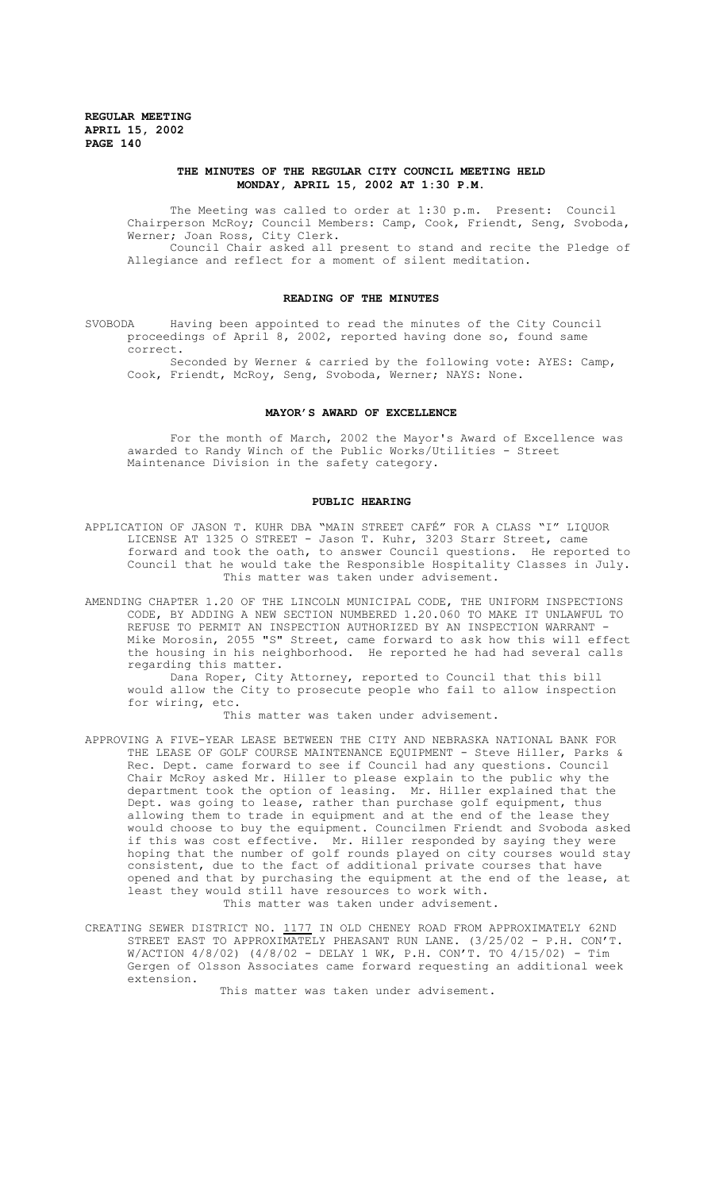## **THE MINUTES OF THE REGULAR CITY COUNCIL MEETING HELD MONDAY, APRIL 15, 2002 AT 1:30 P.M.**

The Meeting was called to order at 1:30 p.m. Present: Council Chairperson McRoy; Council Members: Camp, Cook, Friendt, Seng, Svoboda, Werner; Joan Ross, City Clerk. Council Chair asked all present to stand and recite the Pledge of Allegiance and reflect for a moment of silent meditation.

### **READING OF THE MINUTES**

SVOBODA Having been appointed to read the minutes of the City Council proceedings of April 8, 2002, reported having done so, found same correct.

Seconded by Werner & carried by the following vote: AYES: Camp, Cook, Friendt, McRoy, Seng, Svoboda, Werner; NAYS: None.

#### **MAYOR'S AWARD OF EXCELLENCE**

For the month of March, 2002 the Mayor's Award of Excellence was awarded to Randy Winch of the Public Works/Utilities - Street Maintenance Division in the safety category.

# **PUBLIC HEARING**

- APPLICATION OF JASON T. KUHR DBA "MAIN STREET CAFÉ" FOR A CLASS "I" LIQUOR LICENSE AT 1325 O STREET - Jason T. Kuhr, 3203 Starr Street, came forward and took the oath, to answer Council questions. He reported to Council that he would take the Responsible Hospitality Classes in July. This matter was taken under advisement.
- AMENDING CHAPTER 1.20 OF THE LINCOLN MUNICIPAL CODE, THE UNIFORM INSPECTIONS CODE, BY ADDING A NEW SECTION NUMBERED 1.20.060 TO MAKE IT UNLAWFUL TO REFUSE TO PERMIT AN INSPECTION AUTHORIZED BY AN INSPECTION WARRANT Mike Morosin, 2055 "S" Street, came forward to ask how this will effect the housing in his neighborhood. He reported he had had several calls regarding this matter.

Dana Roper, City Attorney, reported to Council that this bill would allow the City to prosecute people who fail to allow inspection for wiring, etc.

This matter was taken under advisement.

- APPROVING A FIVE-YEAR LEASE BETWEEN THE CITY AND NEBRASKA NATIONAL BANK FOR THE LEASE OF GOLF COURSE MAINTENANCE EQUIPMENT - Steve Hiller, Parks & Rec. Dept. came forward to see if Council had any questions. Council Chair McRoy asked Mr. Hiller to please explain to the public why the department took the option of leasing. Mr. Hiller explained that the Dept. was going to lease, rather than purchase golf equipment, thus allowing them to trade in equipment and at the end of the lease they would choose to buy the equipment. Councilmen Friendt and Svoboda asked if this was cost effective. Mr. Hiller responded by saying they were hoping that the number of golf rounds played on city courses would stay consistent, due to the fact of additional private courses that have opened and that by purchasing the equipment at the end of the lease, at least they would still have resources to work with. This matter was taken under advisement.
- CREATING SEWER DISTRICT NO. 1177 IN OLD CHENEY ROAD FROM APPROXIMATELY 62ND STREET EAST TO APPROXIMATELY PHEASANT RUN LANE. (3/25/02 - P.H. CON'T. W/ACTION 4/8/02) (4/8/02 - DELAY 1 WK, P.H. CON'T. TO 4/15/02) - Tim Gergen of Olsson Associates came forward requesting an additional week extension.

This matter was taken under advisement.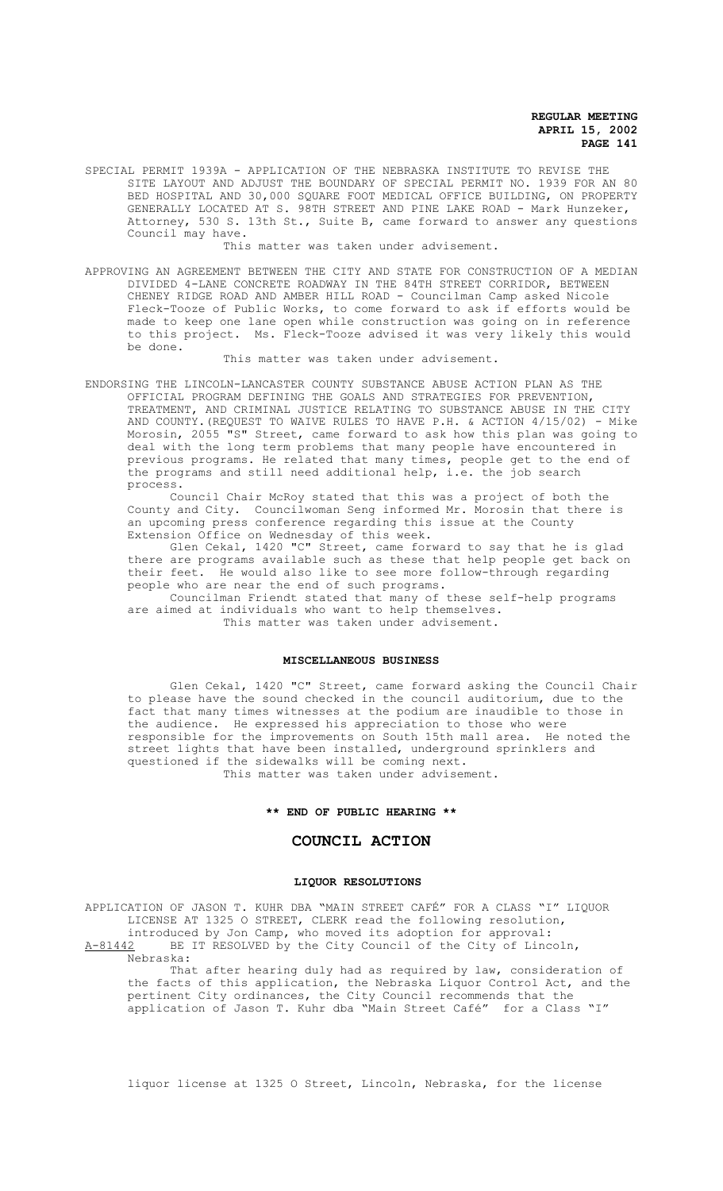SPECIAL PERMIT 1939A - APPLICATION OF THE NEBRASKA INSTITUTE TO REVISE THE SITE LAYOUT AND ADJUST THE BOUNDARY OF SPECIAL PERMIT NO. 1939 FOR AN 80 BED HOSPITAL AND 30,000 SQUARE FOOT MEDICAL OFFICE BUILDING, ON PROPERTY GENERALLY LOCATED AT S. 98TH STREET AND PINE LAKE ROAD - Mark Hunzeker, Attorney, 530 S. 13th St., Suite B, came forward to answer any questions Council may have.

This matter was taken under advisement.

APPROVING AN AGREEMENT BETWEEN THE CITY AND STATE FOR CONSTRUCTION OF A MEDIAN DIVIDED 4-LANE CONCRETE ROADWAY IN THE 84TH STREET CORRIDOR, BETWEEN CHENEY RIDGE ROAD AND AMBER HILL ROAD - Councilman Camp asked Nicole Fleck-Tooze of Public Works, to come forward to ask if efforts would be made to keep one lane open while construction was going on in reference to this project. Ms. Fleck-Tooze advised it was very likely this would be done.

### This matter was taken under advisement.

ENDORSING THE LINCOLN-LANCASTER COUNTY SUBSTANCE ABUSE ACTION PLAN AS THE OFFICIAL PROGRAM DEFINING THE GOALS AND STRATEGIES FOR PREVENTION, TREATMENT, AND CRIMINAL JUSTICE RELATING TO SUBSTANCE ABUSE IN THE CITY AND COUNTY.(REQUEST TO WAIVE RULES TO HAVE P.H. & ACTION 4/15/02) - Mike Morosin, 2055 "S" Street, came forward to ask how this plan was going to deal with the long term problems that many people have encountered in previous programs. He related that many times, people get to the end of the programs and still need additional help, i.e. the job search process.

Council Chair McRoy stated that this was a project of both the County and City. Councilwoman Seng informed Mr. Morosin that there is an upcoming press conference regarding this issue at the County Extension Office on Wednesday of this week.

Glen Cekal, 1420 "C" Street, came forward to say that he is glad there are programs available such as these that help people get back on their feet. He would also like to see more follow-through regarding people who are near the end of such programs.

Councilman Friendt stated that many of these self-help programs are aimed at individuals who want to help themselves. This matter was taken under advisement.

#### **MISCELLANEOUS BUSINESS**

Glen Cekal, 1420 "C" Street, came forward asking the Council Chair to please have the sound checked in the council auditorium, due to the fact that many times witnesses at the podium are inaudible to those in the audience. He expressed his appreciation to those who were responsible for the improvements on South 15th mall area. He noted the street lights that have been installed, underground sprinklers and questioned if the sidewalks will be coming next. This matter was taken under advisement.

### **\*\* END OF PUBLIC HEARING \*\***

## **COUNCIL ACTION**

### **LIQUOR RESOLUTIONS**

APPLICATION OF JASON T. KUHR DBA "MAIN STREET CAFÉ" FOR A CLASS "I" LIQUOR LICENSE AT 1325 O STREET, CLERK read the following resolution, introduced by Jon Camp, who moved its adoption for approval: A-81442 BE IT RESOLVED by the City Council of the City of Lincoln, Nebraska:

That after hearing duly had as required by law, consideration of the facts of this application, the Nebraska Liquor Control Act, and the pertinent City ordinances, the City Council recommends that the application of Jason T. Kuhr dba "Main Street Café" for a Class "I"

liquor license at 1325 O Street, Lincoln, Nebraska, for the license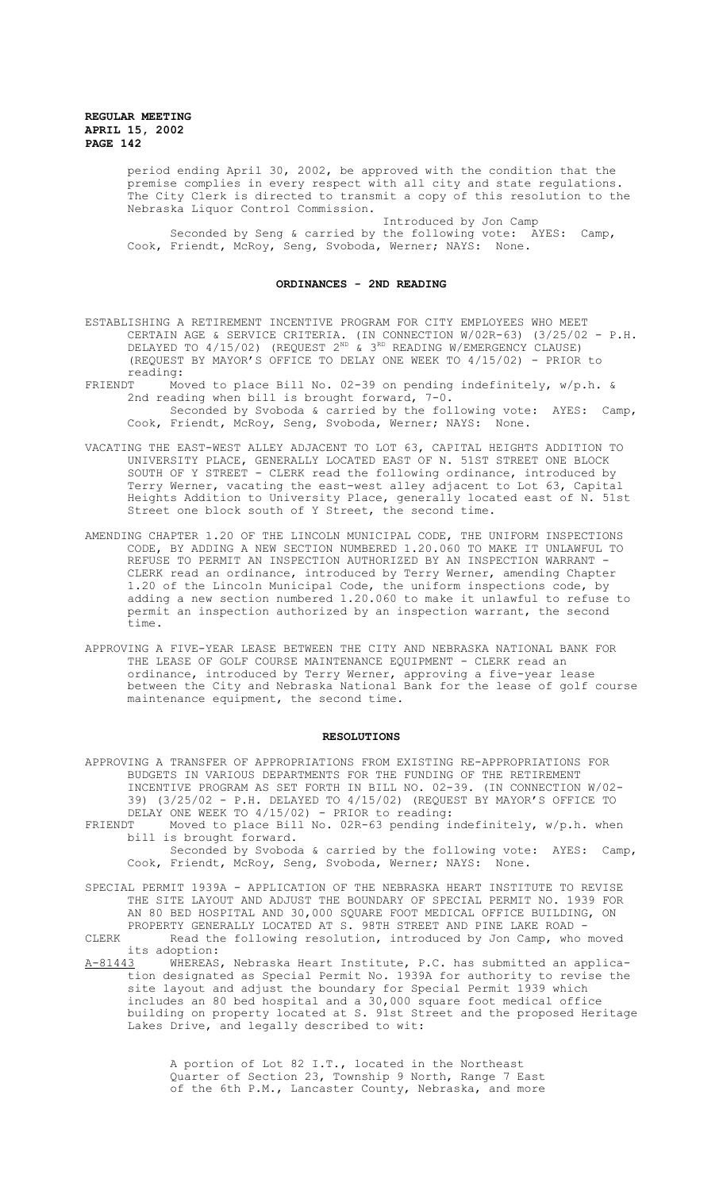> period ending April 30, 2002, be approved with the condition that the premise complies in every respect with all city and state regulations. The City Clerk is directed to transmit a copy of this resolution to the Nebraska Liquor Control Commission.

Introduced by Jon Camp Seconded by Seng & carried by the following vote: AYES: Camp, Cook, Friendt, McRoy, Seng, Svoboda, Werner; NAYS: None.

### **ORDINANCES - 2ND READING**

ESTABLISHING A RETIREMENT INCENTIVE PROGRAM FOR CITY EMPLOYEES WHO MEET CERTAIN AGE & SERVICE CRITERIA. (IN CONNECTION W/02R-63) (3/25/02 - P.H. DELAYED TO  $4/15/02$ ) (REQUEST  $2^{ND}$  &  $3^{RD}$  READING W/EMERGENCY CLAUSE) (REQUEST BY MAYOR'S OFFICE TO DELAY ONE WEEK TO 4/15/02) - PRIOR to reading:<br>FRIENDT Mo

- Moved to place Bill No. 02-39 on pending indefinitely,  $w/p.h.$  & 2nd reading when bill is brought forward, 7-0. Seconded by Svoboda & carried by the following vote: AYES: Camp, Cook, Friendt, McRoy, Seng, Svoboda, Werner; NAYS: None.
- VACATING THE EAST-WEST ALLEY ADJACENT TO LOT 63, CAPITAL HEIGHTS ADDITION TO UNIVERSITY PLACE, GENERALLY LOCATED EAST OF N. 51ST STREET ONE BLOCK SOUTH OF Y STREET - CLERK read the following ordinance, introduced by Terry Werner, vacating the east-west alley adjacent to Lot 63, Capital Heights Addition to University Place, generally located east of N. 51st Street one block south of Y Street, the second time.
- AMENDING CHAPTER 1.20 OF THE LINCOLN MUNICIPAL CODE, THE UNIFORM INSPECTIONS CODE, BY ADDING A NEW SECTION NUMBERED 1.20.060 TO MAKE IT UNLAWFUL TO REFUSE TO PERMIT AN INSPECTION AUTHORIZED BY AN INSPECTION WARRANT - CLERK read an ordinance, introduced by Terry Werner, amending Chapter 1.20 of the Lincoln Municipal Code, the uniform inspections code, by adding a new section numbered 1.20.060 to make it unlawful to refuse to permit an inspection authorized by an inspection warrant, the second time.
- APPROVING A FIVE-YEAR LEASE BETWEEN THE CITY AND NEBRASKA NATIONAL BANK FOR THE LEASE OF GOLF COURSE MAINTENANCE EQUIPMENT - CLERK read an ordinance, introduced by Terry Werner, approving a five-year lease between the City and Nebraska National Bank for the lease of golf course maintenance equipment, the second time.

#### **RESOLUTIONS**

APPROVING A TRANSFER OF APPROPRIATIONS FROM EXISTING RE-APPROPRIATIONS FOR BUDGETS IN VARIOUS DEPARTMENTS FOR THE FUNDING OF THE RETIREMENT INCENTIVE PROGRAM AS SET FORTH IN BILL NO. 02-39. (IN CONNECTION W/02- 39) (3/25/02 - P.H. DELAYED TO 4/15/02) (REQUEST BY MAYOR'S OFFICE TO DELAY ONE WEEK TO  $4/15/02$ ) - PRIOR to reading:<br>FRIENDT Moved to place Bill No. 02R-63 pending i

Moved to place Bill No. 02R-63 pending indefinitely, w/p.h. when bill is brought forward.

Seconded by Svoboda & carried by the following vote: AYES: Camp, Cook, Friendt, McRoy, Seng, Svoboda, Werner; NAYS: None.

SPECIAL PERMIT 1939A - APPLICATION OF THE NEBRASKA HEART INSTITUTE TO REVISE THE SITE LAYOUT AND ADJUST THE BOUNDARY OF SPECIAL PERMIT NO. 1939 FOR AN 80 BED HOSPITAL AND 30,000 SQUARE FOOT MEDICAL OFFICE BUILDING, ON PROPERTY GENERALLY LOCATED AT S. 98TH STREET AND PINE LAKE ROAD -

CLERK Read the following resolution, introduced by Jon Camp, who moved its adoption:<br><u>A-81443</u> WHEREAS

WHEREAS, Nebraska Heart Institute, P.C. has submitted an application designated as Special Permit No. 1939A for authority to revise the site layout and adjust the boundary for Special Permit 1939 which includes an 80 bed hospital and a 30,000 square foot medical office building on property located at S. 91st Street and the proposed Heritage Lakes Drive, and legally described to wit:

> A portion of Lot 82 I.T., located in the Northeast Quarter of Section 23, Township 9 North, Range 7 East of the 6th P.M., Lancaster County, Nebraska, and more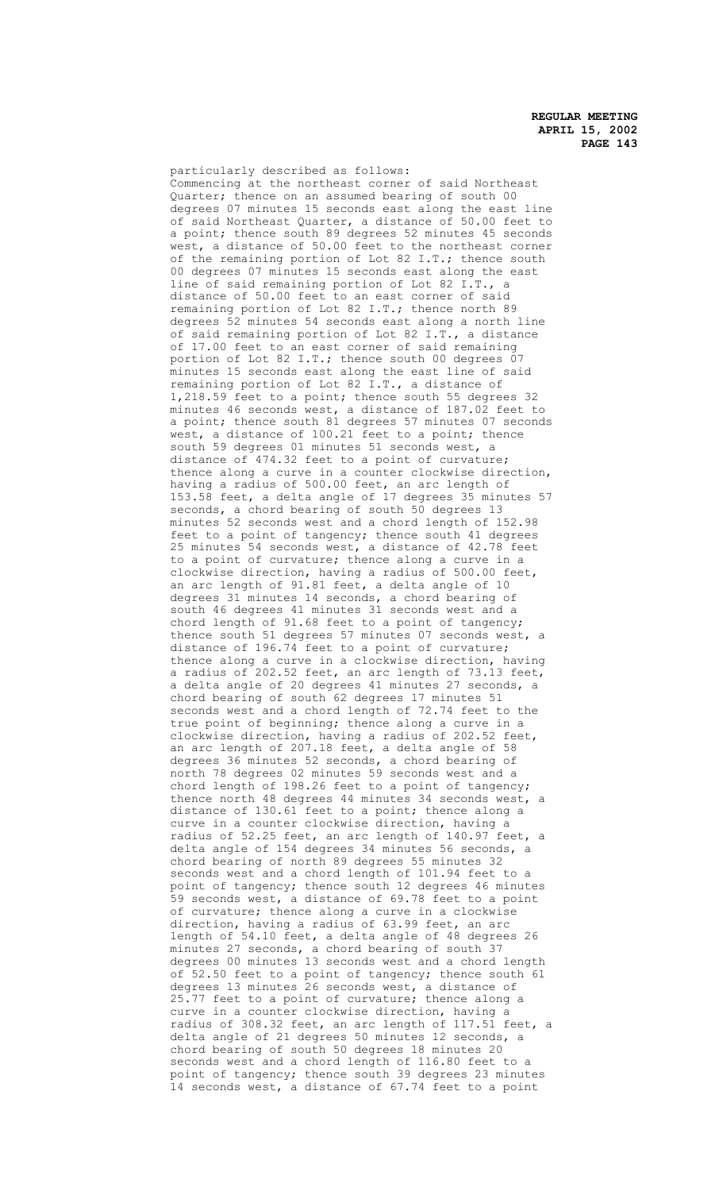particularly described as follows: Commencing at the northeast corner of said Northeast Quarter; thence on an assumed bearing of south 00 degrees 07 minutes 15 seconds east along the east line of said Northeast Quarter, a distance of 50.00 feet to a point; thence south 89 degrees 52 minutes 45 seconds west, a distance of 50.00 feet to the northeast corner of the remaining portion of Lot 82 I.T.; thence south 00 degrees 07 minutes 15 seconds east along the east line of said remaining portion of Lot 82 I.T., a distance of 50.00 feet to an east corner of said remaining portion of Lot 82 I.T.; thence north 89 degrees 52 minutes 54 seconds east along a north line of said remaining portion of Lot 82 I.T., a distance of 17.00 feet to an east corner of said remaining portion of Lot 82 I.T.; thence south 00 degrees 07 minutes 15 seconds east along the east line of said remaining portion of Lot 82 I.T., a distance of 1,218.59 feet to a point; thence south 55 degrees 32 minutes 46 seconds west, a distance of 187.02 feet to a point; thence south 81 degrees 57 minutes 07 seconds west, a distance of 100.21 feet to a point; thence south 59 degrees 01 minutes 51 seconds west, a distance of 474.32 feet to a point of curvature; thence along a curve in a counter clockwise direction, having a radius of 500.00 feet, an arc length of 153.58 feet, a delta angle of 17 degrees 35 minutes 57 seconds, a chord bearing of south 50 degrees 13 minutes 52 seconds west and a chord length of 152.98 feet to a point of tangency; thence south 41 degrees 25 minutes 54 seconds west, a distance of 42.78 feet to a point of curvature; thence along a curve in a clockwise direction, having a radius of 500.00 feet, an arc length of 91.81 feet, a delta angle of 10 degrees 31 minutes 14 seconds, a chord bearing of south 46 degrees 41 minutes 31 seconds west and a chord length of 91.68 feet to a point of tangency; thence south 51 degrees 57 minutes 07 seconds west, a distance of 196.74 feet to a point of curvature; thence along a curve in a clockwise direction, having a radius of 202.52 feet, an arc length of 73.13 feet, a delta angle of 20 degrees 41 minutes 27 seconds, a chord bearing of south 62 degrees 17 minutes 51 seconds west and a chord length of 72.74 feet to the true point of beginning; thence along a curve in a clockwise direction, having a radius of 202.52 feet, an arc length of 207.18 feet, a delta angle of 58 degrees 36 minutes 52 seconds, a chord bearing of north 78 degrees 02 minutes 59 seconds west and a chord length of 198.26 feet to a point of tangency; thence north 48 degrees 44 minutes 34 seconds west, a distance of 130.61 feet to a point; thence along a curve in a counter clockwise direction, having a radius of 52.25 feet, an arc length of 140.97 feet, a delta angle of 154 degrees 34 minutes 56 seconds, a chord bearing of north 89 degrees 55 minutes 32 seconds west and a chord length of 101.94 feet to a point of tangency; thence south 12 degrees 46 minutes 59 seconds west, a distance of 69.78 feet to a point of curvature; thence along a curve in a clockwise direction, having a radius of 63.99 feet, an arc length of 54.10 feet, a delta angle of 48 degrees 26 minutes 27 seconds, a chord bearing of south 37 degrees 00 minutes 13 seconds west and a chord length of 52.50 feet to a point of tangency; thence south 61 degrees 13 minutes 26 seconds west, a distance of 25.77 feet to a point of curvature; thence along a curve in a counter clockwise direction, having a radius of 308.32 feet, an arc length of 117.51 feet, a delta angle of 21 degrees 50 minutes 12 seconds, a chord bearing of south 50 degrees 18 minutes 20 seconds west and a chord length of 116.80 feet to a point of tangency; thence south 39 degrees 23 minutes 14 seconds west, a distance of 67.74 feet to a point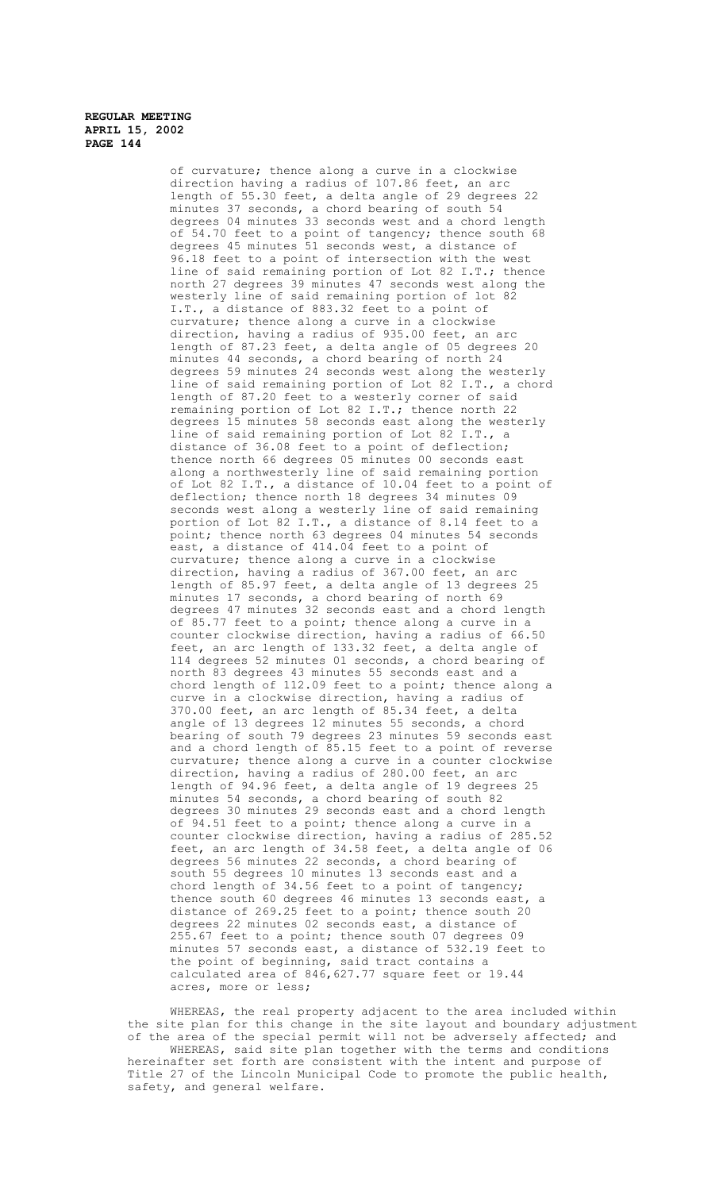> of curvature; thence along a curve in a clockwise direction having a radius of 107.86 feet, an arc length of 55.30 feet, a delta angle of 29 degrees 22 minutes 37 seconds, a chord bearing of south 54 degrees 04 minutes 33 seconds west and a chord length of 54.70 feet to a point of tangency; thence south 68 degrees 45 minutes 51 seconds west, a distance of 96.18 feet to a point of intersection with the west line of said remaining portion of Lot 82 I.T.; thence north 27 degrees 39 minutes 47 seconds west along the westerly line of said remaining portion of lot 82 I.T., a distance of 883.32 feet to a point of curvature; thence along a curve in a clockwise direction, having a radius of 935.00 feet, an arc length of 87.23 feet, a delta angle of 05 degrees 20 minutes 44 seconds, a chord bearing of north 24 degrees 59 minutes 24 seconds west along the westerly line of said remaining portion of Lot 82 I.T., a chord length of 87.20 feet to a westerly corner of said remaining portion of Lot 82 I.T.; thence north 22 degrees 15 minutes 58 seconds east along the westerly line of said remaining portion of Lot 82 I.T., a distance of 36.08 feet to a point of deflection; thence north 66 degrees 05 minutes 00 seconds east along a northwesterly line of said remaining portion of Lot 82 I.T., a distance of 10.04 feet to a point of deflection; thence north 18 degrees 34 minutes 09 seconds west along a westerly line of said remaining portion of Lot 82 I.T., a distance of 8.14 feet to a point; thence north 63 degrees 04 minutes 54 seconds east, a distance of 414.04 feet to a point of curvature; thence along a curve in a clockwise direction, having a radius of 367.00 feet, an arc length of 85.97 feet, a delta angle of 13 degrees 25 minutes 17 seconds, a chord bearing of north 69 degrees 47 minutes 32 seconds east and a chord length of 85.77 feet to a point; thence along a curve in a counter clockwise direction, having a radius of 66.50 feet, an arc length of 133.32 feet, a delta angle of 114 degrees 52 minutes 01 seconds, a chord bearing of north 83 degrees 43 minutes 55 seconds east and a chord length of 112.09 feet to a point; thence along a curve in a clockwise direction, having a radius of 370.00 feet, an arc length of 85.34 feet, a delta angle of 13 degrees 12 minutes 55 seconds, a chord bearing of south 79 degrees 23 minutes 59 seconds east and a chord length of 85.15 feet to a point of reverse curvature; thence along a curve in a counter clockwise direction, having a radius of 280.00 feet, an arc length of 94.96 feet, a delta angle of 19 degrees 25 minutes 54 seconds, a chord bearing of south 82 degrees 30 minutes 29 seconds east and a chord length of 94.51 feet to a point; thence along a curve in a counter clockwise direction, having a radius of 285.52 feet, an arc length of 34.58 feet, a delta angle of 06 degrees 56 minutes 22 seconds, a chord bearing of south 55 degrees 10 minutes 13 seconds east and a chord length of 34.56 feet to a point of tangency; thence south 60 degrees 46 minutes 13 seconds east, a distance of 269.25 feet to a point; thence south 20 degrees 22 minutes 02 seconds east, a distance of 255.67 feet to a point; thence south 07 degrees 09 minutes 57 seconds east, a distance of 532.19 feet to the point of beginning, said tract contains a calculated area of 846,627.77 square feet or 19.44 acres, more or less;

WHEREAS, the real property adjacent to the area included within the site plan for this change in the site layout and boundary adjustment of the area of the special permit will not be adversely affected; and WHEREAS, said site plan together with the terms and conditions hereinafter set forth are consistent with the intent and purpose of Title 27 of the Lincoln Municipal Code to promote the public health, safety, and general welfare.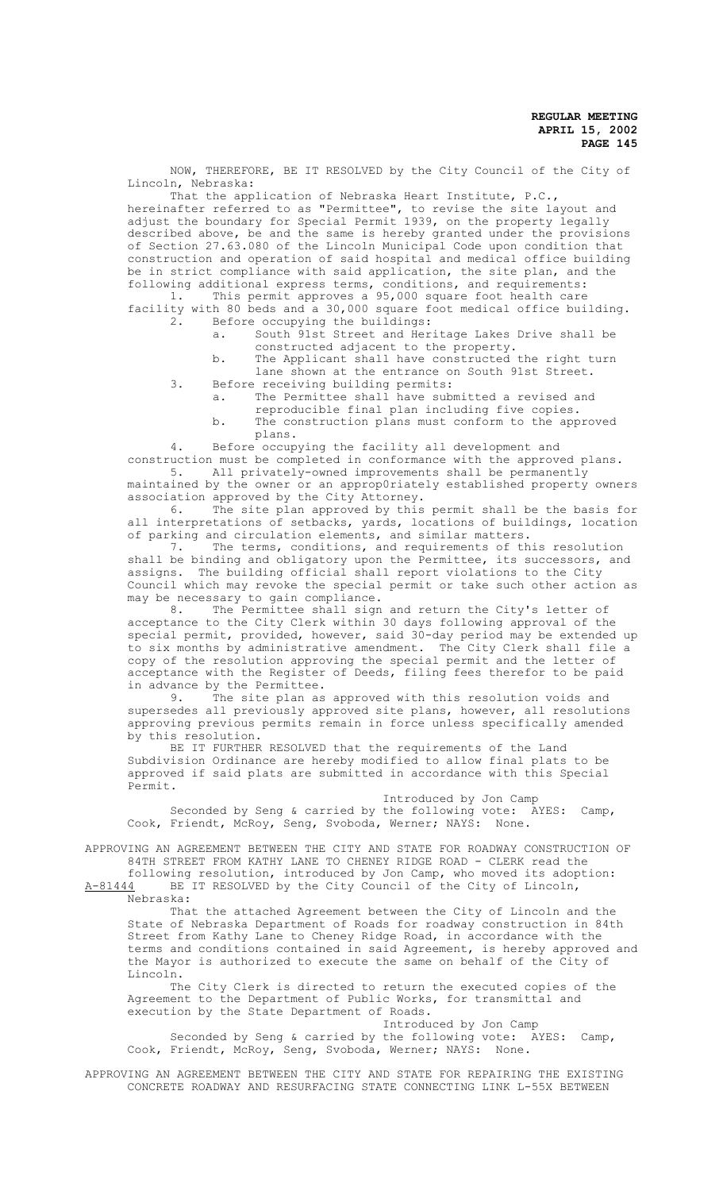NOW, THEREFORE, BE IT RESOLVED by the City Council of the City of Lincoln, Nebraska:

That the application of Nebraska Heart Institute, P.C., hereinafter referred to as "Permittee", to revise the site layout and adjust the boundary for Special Permit 1939, on the property legally described above, be and the same is hereby granted under the provisions of Section 27.63.080 of the Lincoln Municipal Code upon condition that construction and operation of said hospital and medical office building be in strict compliance with said application, the site plan, and the following additional express terms, conditions, and requirements:

1. This permit approves a 95,000 square foot health care facility with 80 beds and a 30,000 square foot medical office building.<br>2. Before occupying the buildings: Before occupying the buildings:

- a. South 91st Street and Heritage Lakes Drive shall be
- constructed adjacent to the property.
- b. The Applicant shall have constructed the right turn lane shown at the entrance on South 91st Street.
- 3. Before receiving building permits: a. The Permittee shall have submitted a revised and
	- reproducible final plan including five copies. b. The construction plans must conform to the approved plans.

4. Before occupying the facility all development and

construction must be completed in conformance with the approved plans.<br>5. All privately-owned improvements shall be permanently All privately-owned improvements shall be permanently maintained by the owner or an approp0riately established property owners association approved by the City Attorney.

6. The site plan approved by this permit shall be the basis for all interpretations of setbacks, yards, locations of buildings, location of parking and circulation elements, and similar matters.<br>7. The terms, conditions, and requirements of th

The terms, conditions, and requirements of this resolution shall be binding and obligatory upon the Permittee, its successors, and assigns. The building official shall report violations to the City Council which may revoke the special permit or take such other action as may be necessary to gain compliance.

8. The Permittee shall sign and return the City's letter of acceptance to the City Clerk within 30 days following approval of the special permit, provided, however, said 30-day period may be extended up to six months by administrative amendment. The City Clerk shall file a copy of the resolution approving the special permit and the letter of acceptance with the Register of Deeds, filing fees therefor to be paid in advance by the Permittee.<br>9. The site plan as

The site plan as approved with this resolution voids and supersedes all previously approved site plans, however, all resolutions approving previous permits remain in force unless specifically amended by this resolution.

BE IT FURTHER RESOLVED that the requirements of the Land Subdivision Ordinance are hereby modified to allow final plats to be approved if said plats are submitted in accordance with this Special Permit.

Introduced by Jon Camp Seconded by Seng & carried by the following vote: AYES: Camp, Cook, Friendt, McRoy, Seng, Svoboda, Werner; NAYS: None.

APPROVING AN AGREEMENT BETWEEN THE CITY AND STATE FOR ROADWAY CONSTRUCTION OF 84TH STREET FROM KATHY LANE TO CHENEY RIDGE ROAD - CLERK read the

following resolution, introduced by Jon Camp, who moved its adoption: A-81444 BE IT RESOLVED by the City Council of the City of Lincoln, Nebraska:

That the attached Agreement between the City of Lincoln and the State of Nebraska Department of Roads for roadway construction in 84th Street from Kathy Lane to Cheney Ridge Road, in accordance with the terms and conditions contained in said Agreement, is hereby approved and the Mayor is authorized to execute the same on behalf of the City of Lincoln.

The City Clerk is directed to return the executed copies of the Agreement to the Department of Public Works, for transmittal and execution by the State Department of Roads.

Introduced by Jon Camp Seconded by Seng & carried by the following vote: AYES: Camp, Cook, Friendt, McRoy, Seng, Svoboda, Werner; NAYS: None.

APPROVING AN AGREEMENT BETWEEN THE CITY AND STATE FOR REPAIRING THE EXISTING CONCRETE ROADWAY AND RESURFACING STATE CONNECTING LINK L-55X BETWEEN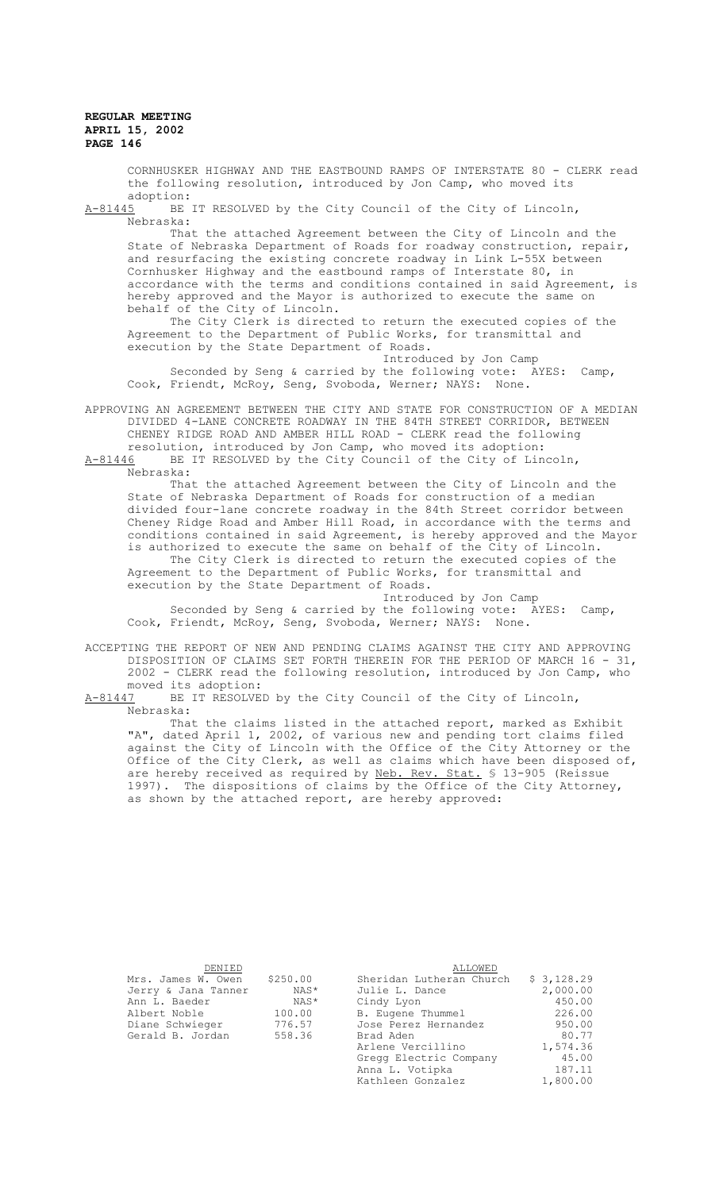CORNHUSKER HIGHWAY AND THE EASTBOUND RAMPS OF INTERSTATE 80 - CLERK read the following resolution, introduced by Jon Camp, who moved its

adoption:<br>A-81445 BE BE IT RESOLVED by the City Council of the City of Lincoln, Nebraska:

That the attached Agreement between the City of Lincoln and the State of Nebraska Department of Roads for roadway construction, repair, and resurfacing the existing concrete roadway in Link L-55X between Cornhusker Highway and the eastbound ramps of Interstate 80, in accordance with the terms and conditions contained in said Agreement, is hereby approved and the Mayor is authorized to execute the same on behalf of the City of Lincoln.

The City Clerk is directed to return the executed copies of the Agreement to the Department of Public Works, for transmittal and execution by the State Department of Roads.

Introduced by Jon Camp

Seconded by Seng & carried by the following vote: AYES: Camp, Cook, Friendt, McRoy, Seng, Svoboda, Werner; NAYS: None.

APPROVING AN AGREEMENT BETWEEN THE CITY AND STATE FOR CONSTRUCTION OF A MEDIAN DIVIDED 4-LANE CONCRETE ROADWAY IN THE 84TH STREET CORRIDOR, BETWEEN CHENEY RIDGE ROAD AND AMBER HILL ROAD - CLERK read the following resolution, introduced by Jon Camp, who moved its adoption:

A-81446 BE IT RESOLVED by the City Council of the City of Lincoln, Nebraska:

That the attached Agreement between the City of Lincoln and the State of Nebraska Department of Roads for construction of a median divided four-lane concrete roadway in the 84th Street corridor between Cheney Ridge Road and Amber Hill Road, in accordance with the terms and conditions contained in said Agreement, is hereby approved and the Mayor is authorized to execute the same on behalf of the City of Lincoln.

The City Clerk is directed to return the executed copies of the Agreement to the Department of Public Works, for transmittal and execution by the State Department of Roads.

Introduced by Jon Camp

Seconded by Seng & carried by the following vote: AYES: Camp, Cook, Friendt, McRoy, Seng, Svoboda, Werner; NAYS: None.

ACCEPTING THE REPORT OF NEW AND PENDING CLAIMS AGAINST THE CITY AND APPROVING DISPOSITION OF CLAIMS SET FORTH THEREIN FOR THE PERIOD OF MARCH 16 - 31, 2002 - CLERK read the following resolution, introduced by Jon Camp, who moved its adoption:<br>A-81447 BE IT RESOLVE

BE IT RESOLVED by the City Council of the City of Lincoln, Nebraska:

That the claims listed in the attached report, marked as Exhibit "A", dated April 1, 2002, of various new and pending tort claims filed against the City of Lincoln with the Office of the City Attorney or the Office of the City Clerk, as well as claims which have been disposed of, are hereby received as required by Neb. Rev. Stat. § 13-905 (Reissue 1997). The dispositions of claims by the Office of the City Attorney, as shown by the attached report, are hereby approved:

| DENIED              |          | <b>ALLOWED</b>           |            |
|---------------------|----------|--------------------------|------------|
| Mrs. James W. Owen  | \$250.00 | Sheridan Lutheran Church | \$3,128.29 |
| Jerry & Jana Tanner | NAS*     | Julie L. Dance           | 2,000.00   |
| Ann L. Baeder       | NAS*     | Cindy Lyon               | 450.00     |
| Albert Noble        | 100.00   | B. Eugene Thummel        | 226.00     |
| Diane Schwieger     | 776.57   | Jose Perez Hernandez     | 950.00     |
| Gerald B. Jordan    | 558.36   | Brad Aden                | 80.77      |
|                     |          | Arlene Vercillino        | 1,574.36   |
|                     |          | Gregg Electric Company   | 45.00      |
|                     |          | Anna L. Votipka          | 187.11     |
|                     |          | Kathleen Gonzalez        | 1,800.00   |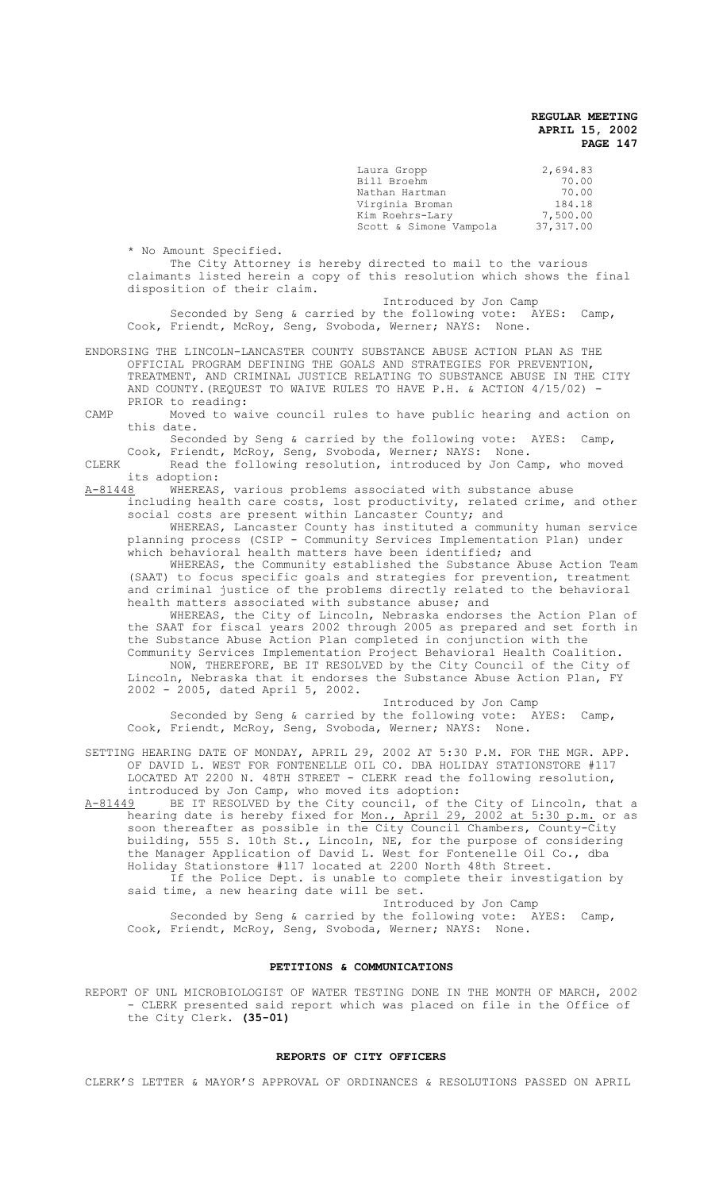| Laura Gropp            | 2,694.83  |
|------------------------|-----------|
| Bill Broehm            | 70.00     |
| Nathan Hartman         | 70.00     |
| Virginia Broman        | 184.18    |
| Kim Roehrs-Lary        | 7,500.00  |
| Scott & Simone Vampola | 37,317.00 |

\* No Amount Specified.

The City Attorney is hereby directed to mail to the various claimants listed herein a copy of this resolution which shows the final disposition of their claim.

 Introduced by Jon Camp Seconded by Seng & carried by the following vote: AYES: Camp, Cook, Friendt, McRoy, Seng, Svoboda, Werner; NAYS: None.

ENDORSING THE LINCOLN-LANCASTER COUNTY SUBSTANCE ABUSE ACTION PLAN AS THE OFFICIAL PROGRAM DEFINING THE GOALS AND STRATEGIES FOR PREVENTION, TREATMENT, AND CRIMINAL JUSTICE RELATING TO SUBSTANCE ABUSE IN THE CITY AND COUNTY.(REQUEST TO WAIVE RULES TO HAVE P.H. & ACTION 4/15/02) - PRIOR to reading:

CAMP Moved to waive council rules to have public hearing and action on this date.

Seconded by Seng & carried by the following vote: AYES: Camp, Cook, Friendt, McRoy, Seng, Svoboda, Werner; NAYS: None.

- CLERK Read the following resolution, introduced by Jon Camp, who moved its adoption:<br>A-81448 WHEREAS
- WHEREAS, various problems associated with substance abuse including health care costs, lost productivity, related crime, and other social costs are present within Lancaster County; and

WHEREAS, Lancaster County has instituted a community human service planning process (CSIP - Community Services Implementation Plan) under which behavioral health matters have been identified; and

WHEREAS, the Community established the Substance Abuse Action Team (SAAT) to focus specific goals and strategies for prevention, treatment and criminal justice of the problems directly related to the behavioral health matters associated with substance abuse; and

WHEREAS, the City of Lincoln, Nebraska endorses the Action Plan of the SAAT for fiscal years 2002 through 2005 as prepared and set forth in the Substance Abuse Action Plan completed in conjunction with the

Community Services Implementation Project Behavioral Health Coalition. NOW, THEREFORE, BE IT RESOLVED by the City Council of the City of Lincoln, Nebraska that it endorses the Substance Abuse Action Plan, FY 2002 - 2005, dated April 5, 2002.

Introduced by Jon Camp Seconded by Seng & carried by the following vote: AYES: Camp, Cook, Friendt, McRoy, Seng, Svoboda, Werner; NAYS: None.

SETTING HEARING DATE OF MONDAY, APRIL 29, 2002 AT 5:30 P.M. FOR THE MGR. APP. OF DAVID L. WEST FOR FONTENELLE OIL CO. DBA HOLIDAY STATIONSTORE #117 LOCATED AT 2200 N. 48TH STREET - CLERK read the following resolution, introduced by Jon Camp, who moved its adoption:

A-81449 BE IT RESOLVED by the City council, of the City of Lincoln, that a hearing date is hereby fixed for <u>Mon., April 29, 2002 at 5:30 p.m.</u> or as soon thereafter as possible in the City Council Chambers, County-City building, 555 S. 10th St., Lincoln, NE, for the purpose of considering the Manager Application of David L. West for Fontenelle Oil Co., dba Holiday Stationstore #117 located at 2200 North 48th Street. If the Police Dept. is unable to complete their investigation by said time, a new hearing date will be set.

Introduced by Jon Camp Seconded by Seng & carried by the following vote: AYES: Camp, Cook, Friendt, McRoy, Seng, Svoboda, Werner; NAYS: None.

#### **PETITIONS & COMMUNICATIONS**

REPORT OF UNL MICROBIOLOGIST OF WATER TESTING DONE IN THE MONTH OF MARCH, 2002 - CLERK presented said report which was placed on file in the Office of the City Clerk. **(35-01)**

#### **REPORTS OF CITY OFFICERS**

CLERK'S LETTER & MAYOR'S APPROVAL OF ORDINANCES & RESOLUTIONS PASSED ON APRIL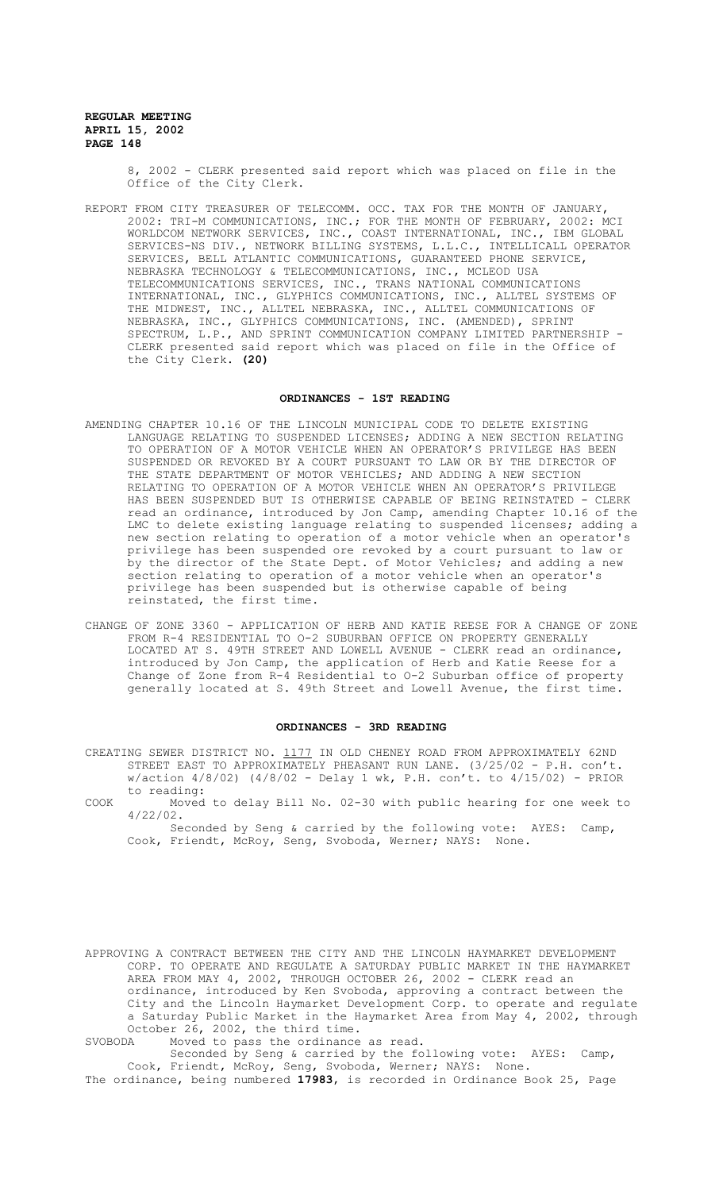> 8, 2002 - CLERK presented said report which was placed on file in the Office of the City Clerk.

REPORT FROM CITY TREASURER OF TELECOMM. OCC. TAX FOR THE MONTH OF JANUARY, 2002: TRI-M COMMUNICATIONS, INC.; FOR THE MONTH OF FEBRUARY, 2002: MCI WORLDCOM NETWORK SERVICES, INC., COAST INTERNATIONAL, INC., IBM GLOBAL SERVICES-NS DIV., NETWORK BILLING SYSTEMS, L.L.C., INTELLICALL OPERATOR SERVICES, BELL ATLANTIC COMMUNICATIONS, GUARANTEED PHONE SERVICE, NEBRASKA TECHNOLOGY & TELECOMMUNICATIONS, INC., MCLEOD USA TELECOMMUNICATIONS SERVICES, INC., TRANS NATIONAL COMMUNICATIONS INTERNATIONAL, INC., GLYPHICS COMMUNICATIONS, INC., ALLTEL SYSTEMS OF THE MIDWEST, INC., ALLTEL NEBRASKA, INC., ALLTEL COMMUNICATIONS OF NEBRASKA, INC., GLYPHICS COMMUNICATIONS, INC. (AMENDED), SPRINT SPECTRUM, L.P., AND SPRINT COMMUNICATION COMPANY LIMITED PARTNERSHIP - CLERK presented said report which was placed on file in the Office of the City Clerk. **(20)**

# **ORDINANCES - 1ST READING**

- AMENDING CHAPTER 10.16 OF THE LINCOLN MUNICIPAL CODE TO DELETE EXISTING LANGUAGE RELATING TO SUSPENDED LICENSES; ADDING A NEW SECTION RELATING TO OPERATION OF A MOTOR VEHICLE WHEN AN OPERATOR'S PRIVILEGE HAS BEEN SUSPENDED OR REVOKED BY A COURT PURSUANT TO LAW OR BY THE DIRECTOR OF THE STATE DEPARTMENT OF MOTOR VEHICLES; AND ADDING A NEW SECTION RELATING TO OPERATION OF A MOTOR VEHICLE WHEN AN OPERATOR'S PRIVILEGE HAS BEEN SUSPENDED BUT IS OTHERWISE CAPABLE OF BEING REINSTATED - CLERK read an ordinance, introduced by Jon Camp, amending Chapter 10.16 of the LMC to delete existing language relating to suspended licenses; adding a new section relating to operation of a motor vehicle when an operator' privilege has been suspended ore revoked by a court pursuant to law or by the director of the State Dept. of Motor Vehicles; and adding a new section relating to operation of a motor vehicle when an operator's privilege has been suspended but is otherwise capable of being reinstated, the first time.
- CHANGE OF ZONE 3360 APPLICATION OF HERB AND KATIE REESE FOR A CHANGE OF ZONE FROM R-4 RESIDENTIAL TO O-2 SUBURBAN OFFICE ON PROPERTY GENERALLY LOCATED AT S. 49TH STREET AND LOWELL AVENUE - CLERK read an ordinance, introduced by Jon Camp, the application of Herb and Katie Reese for a Change of Zone from R-4 Residential to O-2 Suburban office of property generally located at S. 49th Street and Lowell Avenue, the first time.

#### **ORDINANCES - 3RD READING**

- CREATING SEWER DISTRICT NO. 1177 IN OLD CHENEY ROAD FROM APPROXIMATELY 62ND STREET EAST TO APPROXIMATELY PHEASANT RUN LANE. (3/25/02 - P.H. con't.  $w/action$   $4/8/02$ )  $(4/8/02 - Delay 1 wk, P.H. con't. to  $4/15/02$ ) - PRIOR$ to reading:
- COOK Moved to delay Bill No. 02-30 with public hearing for one week to 4/22/02.

Seconded by Seng & carried by the following vote: AYES: Camp, Cook, Friendt, McRoy, Seng, Svoboda, Werner; NAYS: None.

APPROVING A CONTRACT BETWEEN THE CITY AND THE LINCOLN HAYMARKET DEVELOPMENT CORP. TO OPERATE AND REGULATE A SATURDAY PUBLIC MARKET IN THE HAYMARKET AREA FROM MAY 4, 2002, THROUGH OCTOBER 26, 2002 - CLERK read an ordinance, introduced by Ken Svoboda, approving a contract between the City and the Lincoln Haymarket Development Corp. to operate and regulate a Saturday Public Market in the Haymarket Area from May 4, 2002, through October 26, 2002, the third time.<br>SVOBODA Moved to pass the ordinance Moved to pass the ordinance as read.

Seconded by Seng & carried by the following vote: AYES: Camp, Cook, Friendt, McRoy, Seng, Svoboda, Werner; NAYS: None.

The ordinance, being numbered **17983**, is recorded in Ordinance Book 25, Page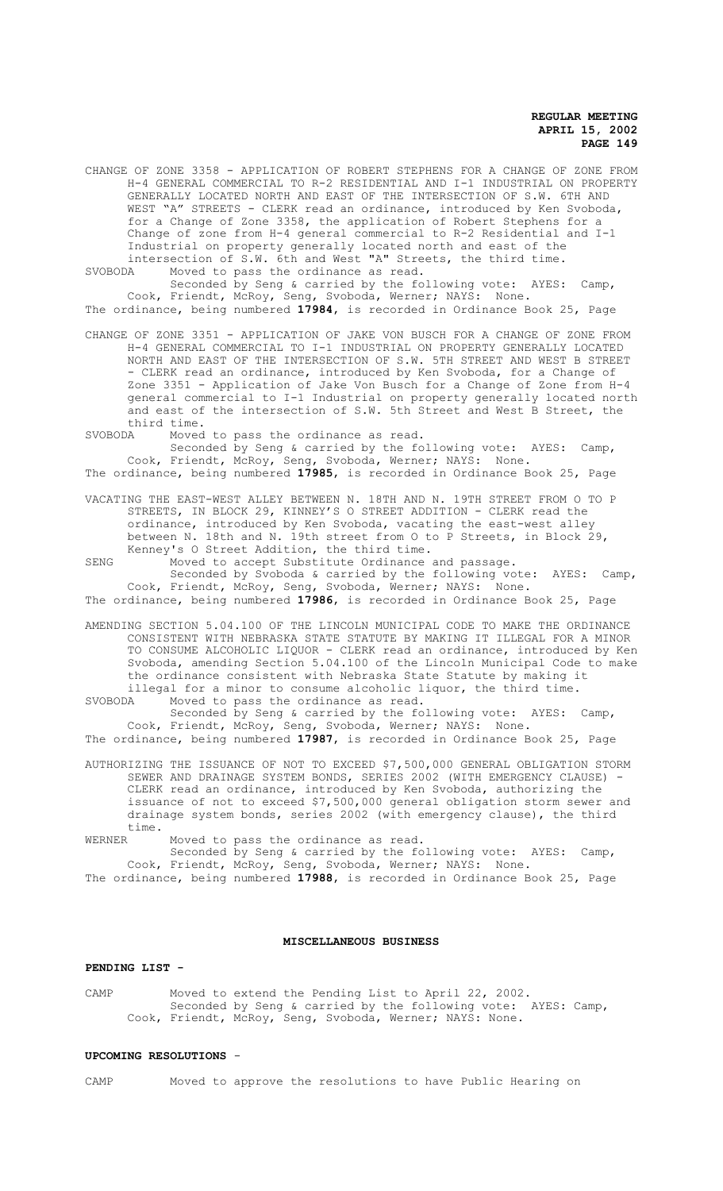CHANGE OF ZONE 3358 - APPLICATION OF ROBERT STEPHENS FOR A CHANGE OF ZONE FROM H-4 GENERAL COMMERCIAL TO R-2 RESIDENTIAL AND I-1 INDUSTRIAL ON PROPERTY GENERALLY LOCATED NORTH AND EAST OF THE INTERSECTION OF S.W. 6TH AND WEST "A" STREETS - CLERK read an ordinance, introduced by Ken Svoboda, for a Change of Zone 3358, the application of Robert Stephens for a Change of zone from H-4 general commercial to R-2 Residential and I-1 Industrial on property generally located north and east of the intersection of S.W. 6th and West "A" Streets, the third time.<br>SVOBODA Moved to pass the ordinance as read.

Moved to pass the ordinance as read. Seconded by Seng & carried by the following vote: AYES: Camp,

Cook, Friendt, McRoy, Seng, Svoboda, Werner; NAYS: None. The ordinance, being numbered **17984**, is recorded in Ordinance Book 25, Page

CHANGE OF ZONE 3351 - APPLICATION OF JAKE VON BUSCH FOR A CHANGE OF ZONE FROM H-4 GENERAL COMMERCIAL TO I-1 INDUSTRIAL ON PROPERTY GENERALLY LOCATED NORTH AND EAST OF THE INTERSECTION OF S.W. 5TH STREET AND WEST B STREET - CLERK read an ordinance, introduced by Ken Svoboda, for a Change of Zone 3351 - Application of Jake Von Busch for a Change of Zone from H-4 general commercial to I-1 Industrial on property generally located north and east of the intersection of S.W. 5th Street and West B Street, the third time.

SVOBODA Moved to pass the ordinance as read. Seconded by Seng & carried by the following vote: AYES: Camp, Cook, Friendt, McRoy, Seng, Svoboda, Werner; NAYS: None. The ordinance, being numbered **17985**, is recorded in Ordinance Book 25, Page

VACATING THE EAST-WEST ALLEY BETWEEN N. 18TH AND N. 19TH STREET FROM O TO P STREETS, IN BLOCK 29, KINNEY'S O STREET ADDITION - CLERK read the ordinance, introduced by Ken Svoboda, vacating the east-west alley between N. 18th and N. 19th street from O to P Streets, in Block 29, Kenney's O Street Addition, the third time.

SENG Moved to accept Substitute Ordinance and passage. Seconded by Svoboda & carried by the following vote: AYES: Camp, Cook, Friendt, McRoy, Seng, Svoboda, Werner; NAYS: None. The ordinance, being numbered **17986**, is recorded in Ordinance Book 25, Page

AMENDING SECTION 5.04.100 OF THE LINCOLN MUNICIPAL CODE TO MAKE THE ORDINANCE CONSISTENT WITH NEBRASKA STATE STATUTE BY MAKING IT ILLEGAL FOR A MINOR TO CONSUME ALCOHOLIC LIQUOR - CLERK read an ordinance, introduced by Ken Svoboda, amending Section 5.04.100 of the Lincoln Municipal Code to make the ordinance consistent with Nebraska State Statute by making it illegal for a minor to consume alcoholic liquor, the third time.

SVOBODA Moved to pass the ordinance as read. Seconded by Seng & carried by the following vote: AYES: Camp,

Cook, Friendt, McRoy, Seng, Svoboda, Werner; NAYS: None. The ordinance, being numbered **17987**, is recorded in Ordinance Book 25, Page

AUTHORIZING THE ISSUANCE OF NOT TO EXCEED \$7,500,000 GENERAL OBLIGATION STORM SEWER AND DRAINAGE SYSTEM BONDS, SERIES 2002 (WITH EMERGENCY CLAUSE) CLERK read an ordinance, introduced by Ken Svoboda, authorizing the issuance of not to exceed \$7,500,000 general obligation storm sewer and drainage system bonds, series 2002 (with emergency clause), the third time.

WERNER Moved to pass the ordinance as read.

Seconded by Seng & carried by the following vote: AYES: Camp, Cook, Friendt, McRoy, Seng, Svoboda, Werner; NAYS: None. The ordinance, being numbered **17988**, is recorded in Ordinance Book 25, Page

# **MISCELLANEOUS BUSINESS**

#### **PENDING LIST -**

CAMP Moved to extend the Pending List to April 22, 2002. Seconded by Seng & carried by the following vote: AYES: Camp, Cook, Friendt, McRoy, Seng, Svoboda, Werner; NAYS: None.

#### **UPCOMING RESOLUTIONS** -

CAMP Moved to approve the resolutions to have Public Hearing on